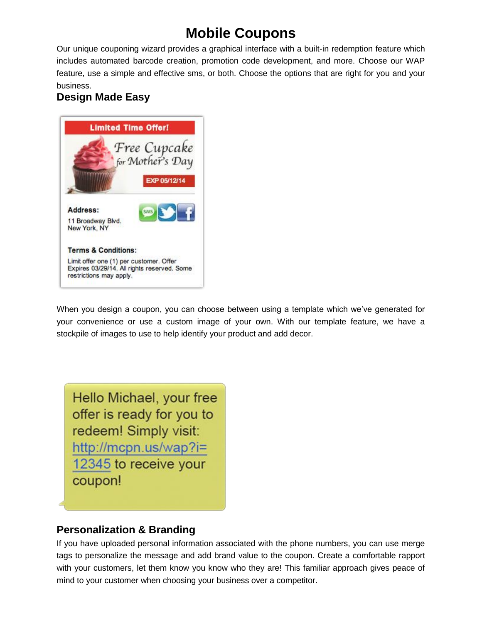# **Mobile Coupons**

Our unique couponing wizard provides a graphical interface with a built-in redemption feature which includes automated barcode creation, promotion code development, and more. Choose our WAP feature, use a simple and effective sms, or both. Choose the options that are right for you and your business.

## **Design Made Easy**



When you design a coupon, you can choose between using a template which we've generated for your convenience or use a custom image of your own. With our template feature, we have a stockpile of images to use to help identify your product and add decor.

Hello Michael, your free offer is ready for you to redeem! Simply visit: http://mcpn.us/wap?i= 12345 to receive your coupon!

### **Personalization & Branding**

If you have uploaded personal information associated with the phone numbers, you can use merge tags to personalize the message and add brand value to the coupon. Create a comfortable rapport with your customers, let them know you know who they are! This familiar approach gives peace of mind to your customer when choosing your business over a competitor.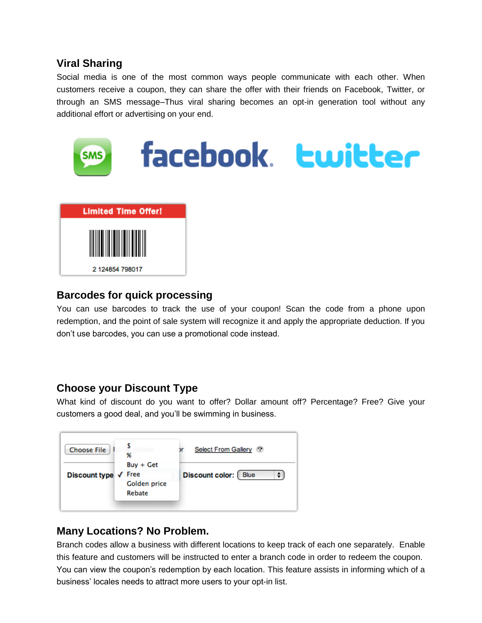## **Viral Sharing**

Social media is one of the most common ways people communicate with each other. When customers receive a coupon, they can share the offer with their friends on Facebook, Twitter, or through an SMS message–Thus viral sharing becomes an opt-in generation tool without any additional effort or advertising on your end.



### **Barcodes for quick processing**

You can use barcodes to track the use of your coupon! Scan the code from a phone upon redemption, and the point of sale system will recognize it and apply the appropriate deduction. If you don't use barcodes, you can use a promotional code instead.

### **Choose your Discount Type**

What kind of discount do you want to offer? Dollar amount off? Percentage? Free? Give your customers a good deal, and you'll be swimming in business.



## **Many Locations? No Problem.**

Branch codes allow a business with different locations to keep track of each one separately. Enable this feature and customers will be instructed to enter a branch code in order to redeem the coupon. You can view the coupon's redemption by each location. This feature assists in informing which of a business' locales needs to attract more users to your opt-in list.